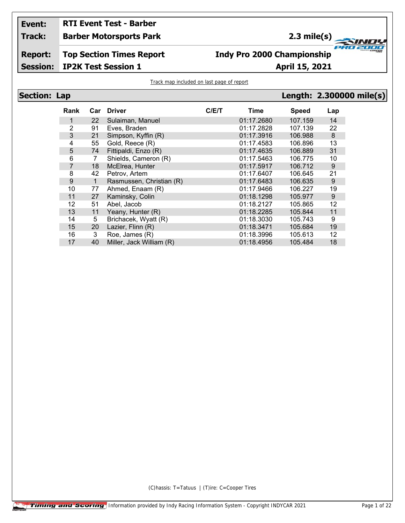### **Event: RTI Event Test - Barber**

**Track: Barber Motorsports Park** **2.3 mile(s)**

**Section: Lap Length: 2.300000 mile(s)**

**TANUS** 

**Report: Session: Top Section Times Report**

## **Indy Pro 2000 Championship**

**IP2K Test Session 1 April 15, 2021**

Track map included on last page of report

|--|

| <b>Rank</b>      | Car | <b>Driver</b>            | C/E/T | Time       | <b>Speed</b> | Lap |
|------------------|-----|--------------------------|-------|------------|--------------|-----|
| 1                | 22  | Sulaiman, Manuel         |       | 01:17.2680 | 107.159      | 14  |
| 2                | 91  | Eves, Braden             |       | 01:17.2828 | 107.139      | 22  |
| 3                | 21  | Simpson, Kyffin (R)      |       | 01:17.3916 | 106.988      | 8   |
| 4                | 55  | Gold, Reece (R)          |       | 01:17.4583 | 106.896      | 13  |
| 5                | 74  | Fittipaldi, Enzo (R)     |       | 01:17.4635 | 106.889      | 31  |
| 6                | 7   | Shields, Cameron (R)     |       | 01:17.5463 | 106.775      | 10  |
| $\overline{7}$   | 18  | McElrea, Hunter          |       | 01:17.5917 | 106.712      | 9   |
| 8                | 42  | Petrov, Artem            |       | 01:17.6407 | 106.645      | 21  |
| $\boldsymbol{9}$ | 1   | Rasmussen, Christian (R) |       | 01:17.6483 | 106.635      | 9   |
| 10               | 77  | Ahmed, Enaam (R)         |       | 01:17.9466 | 106.227      | 19  |
| 11               | 27  | Kaminsky, Colin          |       | 01:18.1298 | 105.977      | 9   |
| 12               | 51  | Abel, Jacob              |       | 01:18.2127 | 105.865      | 12  |
| 13               | 11  | Yeany, Hunter (R)        |       | 01:18.2285 | 105.844      | 11  |
| 14               | 5   | Brichacek, Wyatt (R)     |       | 01:18.3030 | 105.743      | 9   |
| 15               | 20  | Lazier, Flinn (R)        |       | 01:18.3471 | 105.684      | 19  |
| 16               | 3   | Roe, James (R)           |       | 01:18.3996 | 105.613      | 12  |
| 17               | 40  | Miller, Jack William (R) |       | 01:18.4956 | 105.484      | 18  |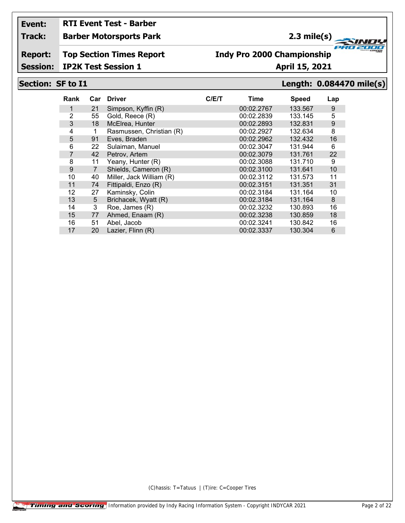## **RTI Event Test - Barber**

**Track: Barber Motorsports Park**

## **2.3 mile(s)**

**Report: Top Section Times Report**

## **Indy Pro 2000 Championship**

### **Session: IP2K Test Session 1 April 15, 2021**

### **Section: SF to I1 Length: 0.084470 mile(s)**

**FRO 200** 

2000

| Rank | Car            | <b>Driver</b>            | C/E/T | Time       | Speed   | Lap              |
|------|----------------|--------------------------|-------|------------|---------|------------------|
|      | 21             | Simpson, Kyffin (R)      |       | 00:02.2767 | 133.567 | 9                |
| 2    | 55             | Gold, Reece (R)          |       | 00:02.2839 | 133.145 | 5                |
| 3    | 18             | McElrea, Hunter          |       | 00:02.2893 | 132.831 | $\boldsymbol{9}$ |
| 4    |                | Rasmussen, Christian (R) |       | 00:02.2927 | 132.634 | 8                |
| 5    | 91             | Eves, Braden             |       | 00:02.2962 | 132.432 | 16               |
| 6    | 22             | Sulaiman, Manuel         |       | 00:02.3047 | 131.944 | 6                |
| 7    | 42             | Petrov, Artem            |       | 00:02.3079 | 131.761 | 22               |
| 8    | 11             | Yeany, Hunter (R)        |       | 00:02.3088 | 131.710 | 9                |
| 9    | $\overline{7}$ | Shields, Cameron (R)     |       | 00:02.3100 | 131.641 | 10               |
| 10   | 40             | Miller, Jack William (R) |       | 00:02.3112 | 131.573 | 11               |
| 11   | 74             | Fittipaldi, Enzo (R)     |       | 00:02.3151 | 131.351 | 31               |
| 12   | 27             | Kaminsky, Colin          |       | 00:02.3184 | 131.164 | 10               |
| 13   | 5              | Brichacek, Wyatt (R)     |       | 00:02.3184 | 131.164 | 8                |
| 14   | 3              | Roe, James (R)           |       | 00:02.3232 | 130.893 | 16               |
| 15   | 77             | Ahmed, Enaam (R)         |       | 00:02.3238 | 130.859 | 18               |
| 16   | 51             | Abel, Jacob              |       | 00:02.3241 | 130.842 | 16               |
| 17   | 20             | Lazier, Flinn (R)        |       | 00:02.3337 | 130.304 | 6                |
|      |                |                          |       |            |         |                  |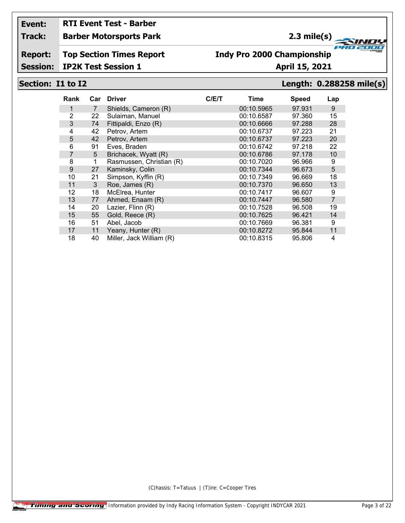# **RTI Event Test - Barber**

**Track: Barber Motorsports Park**

## **2.3 mile(s)**

**Report: Top Section Times Report**

## **Indy Pro 2000 Championship**

**Session: IP2K Test Session 1 April 15, 2021**

### **Section: I1 to I2 Length: 0.288258 mile(s)**

**FRO 200** 

2000

| Rank           | Car | <b>Driver</b>            | C/E/T | Time       | <b>Speed</b> | Lap            |
|----------------|-----|--------------------------|-------|------------|--------------|----------------|
| 1              | 7   | Shields, Cameron (R)     |       | 00:10.5965 | 97.931       | 9              |
| $\overline{2}$ | 22  | Sulaiman, Manuel         |       | 00:10.6587 | 97.360       | 15             |
| 3              | 74  | Fittipaldi, Enzo (R)     |       | 00:10.6666 | 97.288       | 28             |
| 4              | 42  | Petrov, Artem            |       | 00:10.6737 | 97.223       | 21             |
| 5              | 42  | Petrov, Artem            |       | 00:10.6737 | 97.223       | 20             |
| 6              | 91  | Eves, Braden             |       | 00:10.6742 | 97.218       | 22             |
| 7              | 5   | Brichacek, Wyatt (R)     |       | 00:10.6786 | 97.178       | 10             |
| 8              | 1   | Rasmussen, Christian (R) |       | 00:10.7020 | 96.966       | 9              |
| 9              | 27  | Kaminsky, Colin          |       | 00:10.7344 | 96.673       | 5              |
| 10             | 21  | Simpson, Kyffin (R)      |       | 00:10.7349 | 96.669       | 18             |
| 11             | 3   | Roe, James (R)           |       | 00:10.7370 | 96.650       | 13             |
| 12             | 18  | McElrea, Hunter          |       | 00:10.7417 | 96.607       | 9              |
| 13             | 77  | Ahmed, Enaam (R)         |       | 00:10.7447 | 96.580       | $\overline{7}$ |
| 14             | 20  | Lazier, Flinn (R)        |       | 00:10.7528 | 96.508       | 19             |
| 15             | 55  | Gold, Reece (R)          |       | 00:10.7625 | 96.421       | 14             |
| 16             | 51  | Abel, Jacob              |       | 00:10.7669 | 96.381       | 9              |
| 17             | 11  | Yeany, Hunter (R)        |       | 00:10.8272 | 95.844       | 11             |
| 18             | 40  | Miller, Jack William (R) |       | 00:10.8315 | 95.806       | 4              |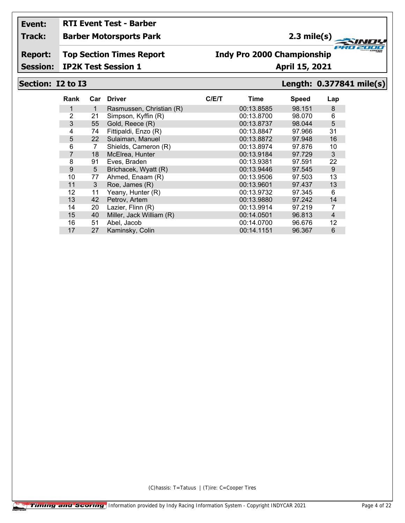# **RTI Event Test - Barber**

**Track: Barber Motorsports Park**

## **2.3 mile(s)**

### **Report: Top Section Times Report**

## **Indy Pro 2000 Championship**

**Session: IP2K Test Session 1 April 15, 2021**

### **Section: I2 to I3 Length: 0.377841 mile(s)**

**FRO 200** 

2000

| Rank           | Car | <b>Driver</b>            | C/ET | Time       | <b>Speed</b> | Lap |
|----------------|-----|--------------------------|------|------------|--------------|-----|
| 1              | 1   | Rasmussen, Christian (R) |      | 00:13.8585 | 98.151       | 8   |
| 2              | 21  | Simpson, Kyffin (R)      |      | 00:13.8700 | 98.070       | 6   |
| 3              | 55  | Gold, Reece (R)          |      | 00:13.8737 | 98.044       | 5   |
| 4              | 74  | Fittipaldi, Enzo (R)     |      | 00:13.8847 | 97.966       | 31  |
| 5              | 22  | Sulaiman, Manuel         |      | 00:13.8872 | 97.948       | 16  |
| 6              | 7   | Shields, Cameron (R)     |      | 00:13.8974 | 97.876       | 10  |
| $\overline{7}$ | 18  | McElrea, Hunter          |      | 00:13.9184 | 97.729       | 3   |
| 8              | 91  | Eves, Braden             |      | 00:13.9381 | 97.591       | 22  |
| 9              | 5   | Brichacek, Wyatt (R)     |      | 00:13.9446 | 97.545       | 9   |
| 10             | 77  | Ahmed, Enaam (R)         |      | 00:13.9506 | 97.503       | 13  |
| 11             | 3   | Roe, James (R)           |      | 00:13.9601 | 97.437       | 13  |
| 12             | 11  | Yeany, Hunter (R)        |      | 00:13.9732 | 97.345       | 6   |
| 13             | 42  | Petrov, Artem            |      | 00:13.9880 | 97.242       | 14  |
| 14             | 20  | Lazier, Flinn (R)        |      | 00:13.9914 | 97.219       | 7   |
| 15             | 40  | Miller, Jack William (R) |      | 00:14.0501 | 96.813       | 4   |
| 16             | 51  | Abel. Jacob              |      | 00:14.0700 | 96.676       | 12  |
| 17             | 27  | Kaminsky, Colin          |      | 00:14.1151 | 96.367       | 6   |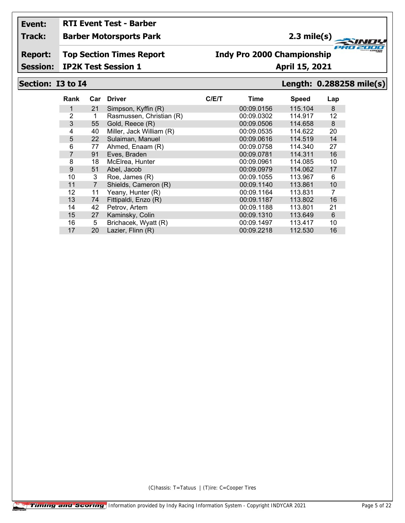# **RTI Event Test - Barber**

**Track: Barber Motorsports Park**

## **2.3 mile(s)**

**Report: Top Section Times Report**

### **Indy Pro 2000 Championship**

**Session: IP2K Test Session 1 April 15, 2021**

### **Section: I3 to I4 Length: 0.288258 mile(s)**

**FRO 200** 

2000

| Rank           | Car            | <b>Driver</b>            | C/ET | Time       | <b>Speed</b> | Lap            |
|----------------|----------------|--------------------------|------|------------|--------------|----------------|
|                | 21             | Simpson, Kyffin (R)      |      | 00:09.0156 | 115.104      | 8              |
| 2              |                | Rasmussen, Christian (R) |      | 00:09.0302 | 114.917      | 12             |
| 3              | 55             | Gold, Reece (R)          |      | 00:09.0506 | 114.658      | 8              |
| 4              | 40             | Miller, Jack William (R) |      | 00:09.0535 | 114.622      | 20             |
| 5              | 22             | Sulaiman, Manuel         |      | 00:09.0616 | 114.519      | 14             |
| 6              | 77             | Ahmed, Enaam (R)         |      | 00:09.0758 | 114.340      | 27             |
| $\overline{7}$ | 91             | Eves, Braden             |      | 00:09.0781 | 114.311      | 16             |
| 8              | 18             | McElrea, Hunter          |      | 00:09.0961 | 114.085      | 10             |
| 9              | 51             | Abel, Jacob              |      | 00:09.0979 | 114.062      | 17             |
| 10             | 3              | Roe, James (R)           |      | 00:09.1055 | 113.967      | 6              |
| 11             | $\overline{7}$ | Shields, Cameron (R)     |      | 00:09.1140 | 113.861      | 10             |
| 12             | 11             | Yeany, Hunter (R)        |      | 00:09.1164 | 113.831      | $\overline{7}$ |
| 13             | 74             | Fittipaldi, Enzo (R)     |      | 00:09.1187 | 113.802      | 16             |
| 14             | 42             | Petrov, Artem            |      | 00:09.1188 | 113.801      | 21             |
| 15             | 27             | Kaminsky, Colin          |      | 00:09.1310 | 113.649      | 6              |
| 16             | 5              | Brichacek, Wyatt (R)     |      | 00:09.1497 | 113.417      | 10             |
| 17             | 20             | Lazier, Flinn (R)        |      | 00:09.2218 | 112.530      | 16             |
|                |                |                          |      |            |              |                |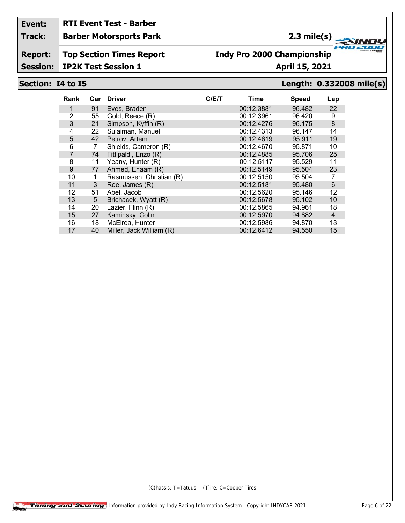## **RTI Event Test - Barber**

**Track: Barber Motorsports Park**

## **2.3 mile(s)**

**Report: Top Section Times Report**

## **Indy Pro 2000 Championship**

**Session: IP2K Test Session 1 April 15, 2021**

### **Section: I4 to I5 Length: 0.332008 mile(s)**

**FRO 200** 

2000

| Rank           | Car | <b>Driver</b>            | C/ET | Time       | <b>Speed</b> | Lap            |
|----------------|-----|--------------------------|------|------------|--------------|----------------|
| 1              | 91  | Eves, Braden             |      | 00:12.3881 | 96.482       | 22             |
| 2              | 55  | Gold, Reece (R)          |      | 00:12.3961 | 96.420       | 9              |
| 3              | 21  | Simpson, Kyffin (R)      |      | 00:12.4276 | 96.175       | $\bf 8$        |
| 4              | 22  | Sulaiman, Manuel         |      | 00:12.4313 | 96.147       | 14             |
| 5              | 42  | Petrov, Artem            |      | 00:12.4619 | 95.911       | 19             |
| 6              | 7   | Shields, Cameron (R)     |      | 00:12.4670 | 95.871       | 10             |
| $\overline{7}$ | 74  | Fittipaldi, Enzo (R)     |      | 00:12.4885 | 95.706       | 25             |
| 8              | 11  | Yeany, Hunter (R)        |      | 00:12.5117 | 95.529       | 11             |
| 9              | 77  | Ahmed, Enaam (R)         |      | 00:12.5149 | 95.504       | 23             |
| 10             | 1   | Rasmussen, Christian (R) |      | 00:12.5150 | 95.504       | 7              |
| 11             | 3   | Roe, James (R)           |      | 00:12.5181 | 95.480       | $6\phantom{1}$ |
| 12             | 51  | Abel, Jacob              |      | 00:12.5620 | 95.146       | 12             |
| 13             | 5   | Brichacek, Wyatt (R)     |      | 00:12.5678 | 95.102       | 10             |
| 14             | 20  | Lazier, Flinn (R)        |      | 00:12.5865 | 94.961       | 18             |
| 15             | 27  | Kaminsky, Colin          |      | 00:12.5970 | 94.882       | $\overline{4}$ |
| 16             | 18  | McElrea, Hunter          |      | 00:12.5986 | 94.870       | 13             |
| 17             | 40  | Miller, Jack William (R) |      | 00:12.6412 | 94.550       | 15             |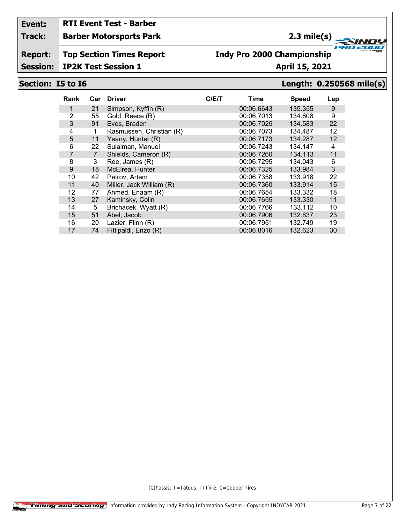## **RTI Event Test - Barber**

**Track: Barber Motorsports Park**

## **2.3 mile(s)**

**Report: Top Section Times Report**

## **Indy Pro 2000 Championship**

**Session: IP2K Test Session 1 April 15, 2021**

### **Section: I5 to I6 Length: 0.250568 mile(s)**

**FRO 200** 

2000

| Rank           | Car            | <b>Driver</b>            | C/E/T | Time       | <b>Speed</b> | Lap |
|----------------|----------------|--------------------------|-------|------------|--------------|-----|
|                | 21             | Simpson, Kyffin (R)      |       | 00:06.6643 | 135.355      | 9   |
| 2              | 55             | Gold, Reece (R)          |       | 00:06.7013 | 134.608      | 9   |
| 3              | 91             | Eves, Braden             |       | 00:06.7025 | 134.583      | 22  |
| 4              | 1              | Rasmussen, Christian (R) |       | 00:06.7073 | 134.487      | 12  |
| 5              | 11             | Yeany, Hunter (R)        |       | 00:06.7173 | 134.287      | 12  |
| 6              | 22             | Sulaiman, Manuel         |       | 00:06.7243 | 134.147      | 4   |
| $\overline{7}$ | $\overline{7}$ | Shields, Cameron (R)     |       | 00:06.7260 | 134.113      | 11  |
| 8              | 3              | Roe, James (R)           |       | 00:06.7295 | 134.043      | 6   |
| 9              | 18             | McElrea, Hunter          |       | 00:06.7325 | 133.984      | 3   |
| 10             | 42             | Petrov, Artem            |       | 00:06.7358 | 133.918      | 22  |
| 11             | 40             | Miller, Jack William (R) |       | 00:06.7360 | 133.914      | 15  |
| 12             | 77             | Ahmed, Enaam (R)         |       | 00:06.7654 | 133.332      | 18  |
| 13             | 27             | Kaminsky, Colin          |       | 00:06.7655 | 133.330      | 11  |
| 14             | 5              | Brichacek, Wyatt (R)     |       | 00:06.7766 | 133.112      | 10  |
| 15             | 51             | Abel, Jacob              |       | 00:06.7906 | 132.837      | 23  |
| 16             | 20             | Lazier, Flinn (R)        |       | 00:06.7951 | 132.749      | 19  |
| 17             | 74             | Fittipaldi, Enzo (R)     |       | 00:06.8016 | 132.623      | 30  |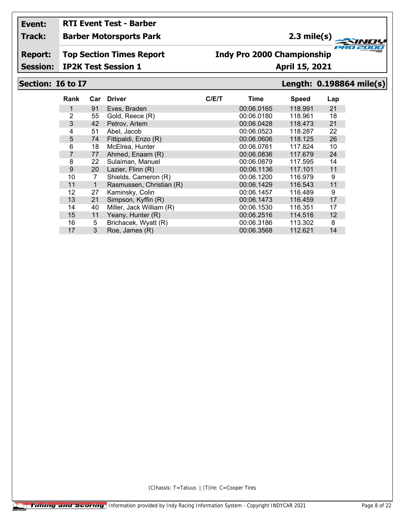# **RTI Event Test - Barber**

**Track: Barber Motorsports Park**

## **2.3 mile(s)**

**Report: Top Section Times Report**

### **Indy Pro 2000 Championship**

**Session: IP2K Test Session 1 April 15, 2021**

## **Section: I6 to I7 Length: 0.198864 mile(s)**

| Rank           | Car | <b>Driver</b>            | C/ET | Time       | <b>Speed</b> | Lap |
|----------------|-----|--------------------------|------|------------|--------------|-----|
|                | 91  | Eves, Braden             |      | 00:06.0165 | 118.991      | 21  |
| 2              | 55  | Gold, Reece (R)          |      | 00:06.0180 | 118.961      | 18  |
| 3              | 42  | Petrov, Artem            |      | 00:06.0428 | 118.473      | 21  |
| 4              | 51  | Abel, Jacob              |      | 00:06.0523 | 118.287      | 22  |
| 5              | 74  | Fittipaldi, Enzo (R)     |      | 00:06.0606 | 118.125      | 26  |
| 6              | 18  | McElrea, Hunter          |      | 00:06.0761 | 117.824      | 10  |
| $\overline{7}$ | 77  | Ahmed, Enaam (R)         |      | 00:06.0836 | 117.679      | 24  |
| 8              | 22  | Sulaiman, Manuel         |      | 00:06.0879 | 117.595      | 14  |
| 9              | 20  | Lazier, Flinn (R)        |      | 00:06.1136 | 117.101      | 11  |
| 10             | 7   | Shields, Cameron (R)     |      | 00:06.1200 | 116.979      | 9   |
| 11             | 1   | Rasmussen, Christian (R) |      | 00:06.1429 | 116.543      | 11  |
| 12             | 27  | Kaminsky, Colin          |      | 00:06.1457 | 116.489      | 9   |
| 13             | 21  | Simpson, Kyffin (R)      |      | 00:06.1473 | 116.459      | 17  |
| 14             | 40  | Miller, Jack William (R) |      | 00:06.1530 | 116.351      | 17  |
| 15             | 11  | Yeany, Hunter (R)        |      | 00:06.2516 | 114.516      | 12  |
| 16             | 5   | Brichacek, Wyatt (R)     |      | 00:06.3186 | 113.302      | 8   |
| 17             | 3   | Roe, James (R)           |      | 00:06.3568 | 112.621      | 14  |

(C)hassis: T=Tatuus | (T)ire: C=Cooper Tires

**FRO 200** 2000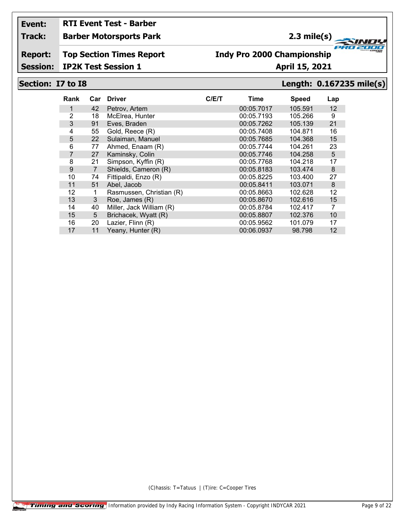# **RTI Event Test - Barber**

**Track: Barber Motorsports Park**

## **2.3 mile(s)**

**Report: Top Section Times Report**

### **Indy Pro 2000 Championship**

**Session: IP2K Test Session 1 April 15, 2021**

### **Section: I7 to I8 Length: 0.167235 mile(s)**

**FRO 200** 

2000

| Rank           | Car            | <b>Driver</b>            | C/ET | Time       | <b>Speed</b> | Lap |
|----------------|----------------|--------------------------|------|------------|--------------|-----|
|                | 42             | Petrov, Artem            |      | 00:05.7017 | 105.591      | 12  |
| $\overline{2}$ | 18             | McElrea, Hunter          |      | 00:05.7193 | 105.266      | 9   |
| 3              | 91             | Eves, Braden             |      | 00:05.7262 | 105.139      | 21  |
| 4              | 55             | Gold, Reece (R)          |      | 00:05.7408 | 104.871      | 16  |
| 5              | 22             | Sulaiman, Manuel         |      | 00:05.7685 | 104.368      | 15  |
| 6              | 77             | Ahmed, Enaam (R)         |      | 00:05.7744 | 104.261      | 23  |
| 7              | 27             | Kaminsky, Colin          |      | 00:05.7746 | 104.258      | 5   |
| 8              | 21             | Simpson, Kyffin (R)      |      | 00:05.7768 | 104.218      | 17  |
| 9              | $\overline{7}$ | Shields, Cameron (R)     |      | 00:05.8183 | 103.474      | 8   |
| 10             | 74             | Fittipaldi, Enzo (R)     |      | 00:05.8225 | 103.400      | 27  |
| 11             | 51             | Abel, Jacob              |      | 00:05.8411 | 103.071      | 8   |
| 12             | 1              | Rasmussen, Christian (R) |      | 00:05.8663 | 102.628      | 12  |
| 13             | 3              | Roe, James (R)           |      | 00:05.8670 | 102.616      | 15  |
| 14             | 40             | Miller, Jack William (R) |      | 00:05.8784 | 102.417      | 7   |
| 15             | 5              | Brichacek, Wyatt (R)     |      | 00:05.8807 | 102.376      | 10  |
| 16             | 20             | Lazier, Flinn (R)        |      | 00:05.9562 | 101.079      | 17  |
| 17             | 11             | Yeany, Hunter (R)        |      | 00:06.0937 | 98.798       | 12  |
|                |                |                          |      |            |              |     |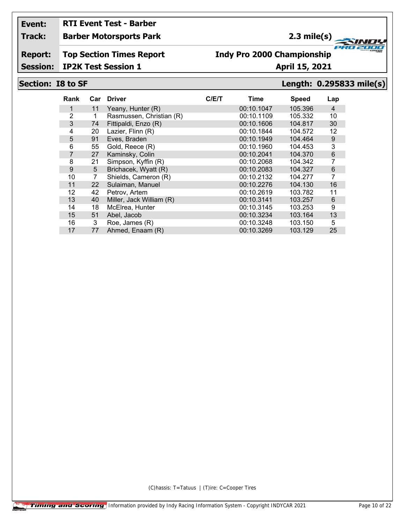# **RTI Event Test - Barber**

### **Track: Barber Motorsports Park**

### **2.3 mile(s)**

**Report: Top Section Times Report**

### **Indy Pro 2000 Championship**

**Session: IP2K Test Session 1 April 15, 2021** 

### **Section: I8 to SF Length: 0.295833 mile(s)**

**FRO 200** 

2000

| Rank           | Car | <b>Driver</b>            | C/E/T | Time       | <b>Speed</b> | Lap            |
|----------------|-----|--------------------------|-------|------------|--------------|----------------|
|                | 11  | Yeany, Hunter (R)        |       | 00:10.1047 | 105.396      | $\overline{4}$ |
| 2              | 1   | Rasmussen, Christian (R) |       | 00:10.1109 | 105.332      | 10             |
| 3              | 74  | Fittipaldi, Enzo (R)     |       | 00:10.1606 | 104.817      | 30             |
| 4              | 20  | Lazier, Flinn (R)        |       | 00:10.1844 | 104.572      | 12             |
| 5              | 91  | Eves, Braden             |       | 00:10.1949 | 104.464      | $9\,$          |
| 6              | 55  | Gold, Reece (R)          |       | 00:10.1960 | 104.453      | 3              |
| $\overline{7}$ | 27  | Kaminsky, Colin          |       | 00:10.2041 | 104.370      | 6              |
| 8              | 21  | Simpson, Kyffin (R)      |       | 00:10.2068 | 104.342      | $\overline{7}$ |
| 9              | 5   | Brichacek, Wyatt (R)     |       | 00:10.2083 | 104.327      | 6              |
| 10             | 7   | Shields, Cameron (R)     |       | 00:10.2132 | 104.277      | $\overline{7}$ |
| 11             | 22  | Sulaiman, Manuel         |       | 00:10.2276 | 104.130      | 16             |
| 12             | 42  | Petrov, Artem            |       | 00:10.2619 | 103.782      | 11             |
| 13             | 40  | Miller, Jack William (R) |       | 00:10.3141 | 103.257      | $6\,$          |
| 14             | 18  | McElrea, Hunter          |       | 00:10.3145 | 103.253      | 9              |
| 15             | 51  | Abel, Jacob              |       | 00:10.3234 | 103.164      | 13             |
| 16             | 3   | Roe, James (R)           |       | 00:10.3248 | 103.150      | 5              |
| 17             | 77  | Ahmed, Enaam (R)         |       | 00:10.3269 | 103.129      | 25             |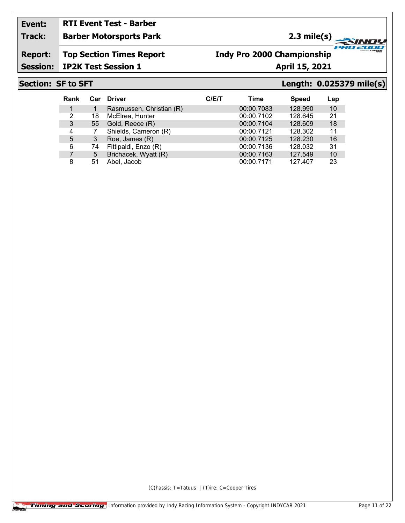### **Event: RTI Event Test - Barber**

### **Track: Barber Motorsports Park**

**2.3 mile(s)**

**Report: Top Section Times Report**

### **Indy Pro 2000 Championship**

**Session: IP2K Test Session 1 April 15, 2021** 

### **Section: SF to SFT Length: 0.025379 mile(s)**

**FRO 200** 

2000

| Rank           |    | Car Driver               | C/ET | Time       | <b>Speed</b> | Lap |
|----------------|----|--------------------------|------|------------|--------------|-----|
| 1              |    | Rasmussen, Christian (R) |      | 00:00.7083 | 128.990      | 10  |
| 2              | 18 | McElrea, Hunter          |      | 00:00.7102 | 128.645      | 21  |
| 3              | 55 | Gold, Reece (R)          |      | 00:00.7104 | 128.609      | 18  |
| $\overline{4}$ |    | Shields, Cameron (R)     |      | 00:00.7121 | 128.302      | 11  |
| 5              | 3  | Roe, James (R)           |      | 00:00.7125 | 128.230      | 16  |
| 6              | 74 | Fittipaldi, Enzo (R)     |      | 00:00.7136 | 128.032      | 31  |
|                | 5  | Brichacek, Wyatt (R)     |      | 00:00.7163 | 127.549      | 10  |
| 8              | 51 | Abel, Jacob              |      | 00:00.7171 | 127.407      | 23  |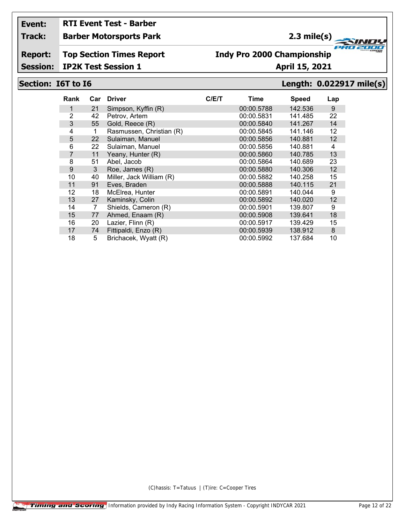# **RTI Event Test - Barber**

**Track: Barber Motorsports Park**

## **2.3 mile(s)**

**Report: Top Section Times Report**

## **Indy Pro 2000 Championship**

**Session: IP2K Test Session 1 April 15, 2021**

### **Section: I6T to I6 Length: 0.022917 mile(s)**

**FRO 200** 

2000

| Rank           | Car | <b>Driver</b>            | C/ET | Time       | <b>Speed</b> | Lap |
|----------------|-----|--------------------------|------|------------|--------------|-----|
| 1              | 21  | Simpson, Kyffin (R)      |      | 00:00.5788 | 142.536      | 9   |
| 2              | 42  | Petrov, Artem            |      | 00:00.5831 | 141.485      | 22  |
| 3              | 55  | Gold, Reece (R)          |      | 00:00.5840 | 141.267      | 14  |
| 4              | 1   | Rasmussen, Christian (R) |      | 00:00.5845 | 141.146      | 12  |
| 5              | 22  | Sulaiman, Manuel         |      | 00:00.5856 | 140.881      | 12  |
| 6              | 22  | Sulaiman, Manuel         |      | 00:00.5856 | 140.881      | 4   |
| $\overline{7}$ | 11  | Yeany, Hunter (R)        |      | 00:00.5860 | 140.785      | 13  |
| 8              | 51  | Abel, Jacob              |      | 00:00.5864 | 140.689      | 23  |
| 9              | 3   | Roe, James (R)           |      | 00:00.5880 | 140.306      | 12  |
| 10             | 40  | Miller, Jack William (R) |      | 00:00.5882 | 140.258      | 15  |
| 11             | 91  | Eves, Braden             |      | 00:00.5888 | 140.115      | 21  |
| 12             | 18  | McElrea, Hunter          |      | 00:00.5891 | 140.044      | 9   |
| 13             | 27  | Kaminsky, Colin          |      | 00:00.5892 | 140.020      | 12  |
| 14             | 7   | Shields, Cameron (R)     |      | 00:00.5901 | 139.807      | 9   |
| 15             | 77  | Ahmed, Enaam (R)         |      | 00:00.5908 | 139.641      | 18  |
| 16             | 20  | Lazier, Flinn (R)        |      | 00:00.5917 | 139.429      | 15  |
| 17             | 74  | Fittipaldi, Enzo (R)     |      | 00:00.5939 | 138.912      | 8   |
| 18             | 5   | Brichacek, Wyatt (R)     |      | 00:00.5992 | 137.684      | 10  |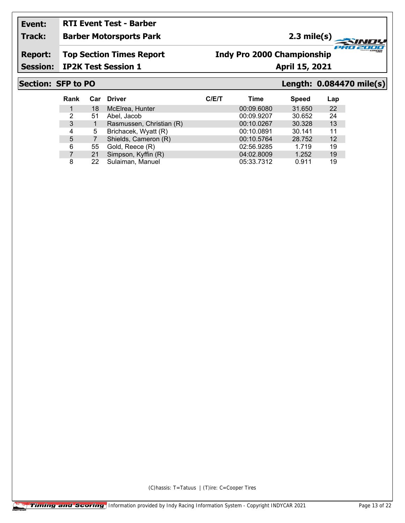### **Event: RTI Event Test - Barber**

### **Track: Barber Motorsports Park**

## **2.3 mile(s)**

**Report: Top Section Times Report**

## **Indy Pro 2000 Championship**

**Session: IP2K Test Session 1 April 15, 2021** 

### **Section: SFP to PO Length: 0.084470 mile(s)**

**FRO 200** 

2000

| Rank |    | Car Driver               | C/ET | Time       | <b>Speed</b> | Lap               |
|------|----|--------------------------|------|------------|--------------|-------------------|
|      | 18 | McElrea, Hunter          |      | 00:09.6080 | 31.650       | 22                |
| 2    | 51 | Abel, Jacob              |      | 00:09.9207 | 30.652       | 24                |
| 3    |    | Rasmussen, Christian (R) |      | 00:10.0267 | 30.328       | 13                |
| 4    | 5  | Brichacek, Wyatt (R)     |      | 00:10.0891 | 30.141       | 11                |
| 5    |    | Shields, Cameron (R)     |      | 00:10.5764 | 28.752       | $12 \overline{ }$ |
| 6    | 55 | Gold, Reece (R)          |      | 02:56.9285 | 1.719        | 19                |
|      | 21 | Simpson, Kyffin (R)      |      | 04:02.8009 | 1.252        | 19                |
| 8    | 22 | Sulaiman, Manuel         |      | 05:33.7312 | 0.911        | 19                |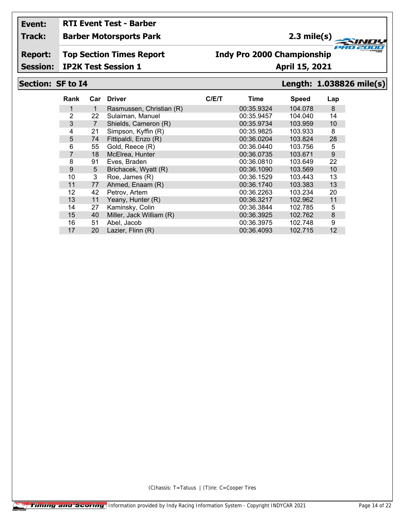## **RTI Event Test - Barber**

### **Track: Barber Motorsports Park**

### **2.3 mile(s)**

**Report: Top Section Times Report**

### **Indy Pro 2000 Championship**

**Session: IP2K Test Session 1 April 15, 2021**

### **Section: SF to I4 Length: 1.038826 mile(s)**

**FRO 200** 

2000

| Rank           | Car | <b>Driver</b>            | C/ET | Time       | <b>Speed</b> | Lap |
|----------------|-----|--------------------------|------|------------|--------------|-----|
| 1              | 1   | Rasmussen, Christian (R) |      | 00:35.9324 | 104.078      | 8   |
| 2              | 22  | Sulaiman, Manuel         |      | 00:35.9457 | 104.040      | 14  |
| 3              | 7   | Shields, Cameron (R)     |      | 00:35.9734 | 103.959      | 10  |
| 4              | 21  | Simpson, Kyffin (R)      |      | 00:35.9825 | 103.933      | 8   |
| 5              | 74  | Fittipaldi, Enzo (R)     |      | 00:36.0204 | 103.824      | 28  |
| 6              | 55  | Gold, Reece (R)          |      | 00:36.0440 | 103.756      | 5   |
| $\overline{7}$ | 18  | McElrea, Hunter          |      | 00:36.0735 | 103.671      | 9   |
| 8              | 91  | Eves, Braden             |      | 00:36.0810 | 103.649      | 22  |
| 9              | 5   | Brichacek, Wyatt (R)     |      | 00:36.1090 | 103.569      | 10  |
| 10             | 3   | Roe, James (R)           |      | 00:36.1529 | 103.443      | 13  |
| 11             | 77  | Ahmed, Enaam (R)         |      | 00:36.1740 | 103.383      | 13  |
| 12             | 42  | Petrov, Artem            |      | 00:36.2263 | 103.234      | 20  |
| 13             | 11  | Yeany, Hunter (R)        |      | 00:36.3217 | 102.962      | 11  |
| 14             | 27  | Kaminsky, Colin          |      | 00:36.3844 | 102.785      | 5   |
| 15             | 40  | Miller, Jack William (R) |      | 00:36.3925 | 102.762      | 8   |
| 16             | 51  | Abel, Jacob              |      | 00:36.3975 | 102.748      | 9   |
| 17             | 20  | Lazier, Flinn (R)        |      | 00:36.4093 | 102.715      | 12  |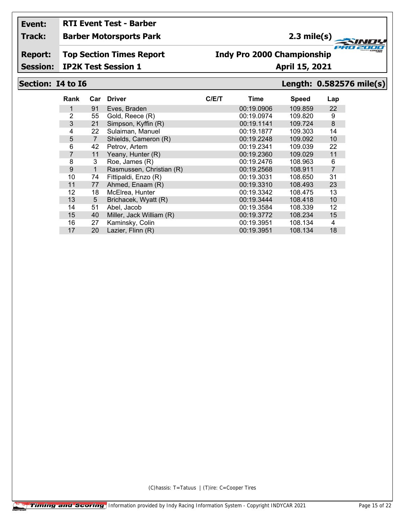## **RTI Event Test - Barber**

**Track: Barber Motorsports Park**

## **2.3 mile(s)**

**Report: Top Section Times Report**

### **Indy Pro 2000 Championship**

**Session: IP2K Test Session 1 April 15, 2021**

### **Section: I4 to I6 Length: 0.582576 mile(s)**

| Rank           | Car            | <b>Driver</b>            | C/ET | Time       | <b>Speed</b> | Lap            |
|----------------|----------------|--------------------------|------|------------|--------------|----------------|
|                | 91             | Eves, Braden             |      | 00:19.0906 | 109.859      | 22             |
| $\overline{2}$ | 55             | Gold, Reece (R)          |      | 00:19.0974 | 109.820      | 9              |
| 3              | 21             | Simpson, Kyffin (R)      |      | 00:19.1141 | 109.724      | 8              |
| 4              | 22             | Sulaiman, Manuel         |      | 00:19.1877 | 109.303      | 14             |
| 5              | $\overline{7}$ | Shields, Cameron (R)     |      | 00:19.2248 | 109.092      | 10             |
| 6              | 42             | Petrov, Artem            |      | 00:19.2341 | 109.039      | 22             |
| 7              | 11             | Yeany, Hunter (R)        |      | 00:19.2360 | 109.029      | 11             |
| 8              | 3              | Roe, James (R)           |      | 00:19.2476 | 108.963      | 6              |
| 9              | 1              | Rasmussen, Christian (R) |      | 00:19.2568 | 108.911      | $\overline{7}$ |
| 10             | 74             | Fittipaldi, Enzo (R)     |      | 00:19.3031 | 108.650      | 31             |
| 11             | 77             | Ahmed, Enaam (R)         |      | 00:19.3310 | 108.493      | 23             |
| 12             | 18             | McElrea, Hunter          |      | 00:19.3342 | 108.475      | 13             |
| 13             | 5              | Brichacek, Wyatt (R)     |      | 00:19.3444 | 108.418      | 10             |
| 14             | 51             | Abel, Jacob              |      | 00:19.3584 | 108.339      | 12             |
| 15             | 40             | Miller, Jack William (R) |      | 00:19.3772 | 108.234      | 15             |
| 16             | 27             | Kaminsky, Colin          |      | 00:19.3951 | 108.134      | 4              |
| 17             | 20             | Lazier, Flinn (R)        |      | 00:19.3951 | 108.134      | 18             |
|                |                |                          |      |            |              |                |

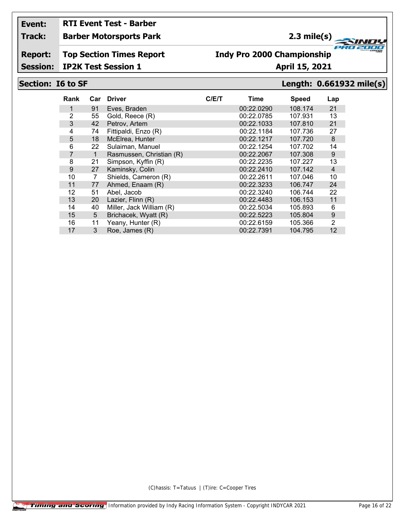# **RTI Event Test - Barber**

### **Track: Barber Motorsports Park**

## **2.3 mile(s)**

**Report: Top Section Times Report**

### **Indy Pro 2000 Championship**

**Session: IP2K Test Session 1 April 15, 2021** 

### **Section: I6 to SF Length: 0.661932 mile(s)**

**FRO 200** 

2000

| Rank | Car | <b>Driver</b>            | C/E/T | Time       | <b>Speed</b> | Lap            |
|------|-----|--------------------------|-------|------------|--------------|----------------|
| 1    | 91  | Eves, Braden             |       | 00:22.0290 | 108.174      | 21             |
| 2    | 55  | Gold, Reece (R)          |       | 00:22.0785 | 107.931      | 13             |
| 3    | 42  | Petrov, Artem            |       | 00:22.1033 | 107.810      | 21             |
| 4    | 74  | Fittipaldi, Enzo (R)     |       | 00:22.1184 | 107.736      | 27             |
| 5    | 18  | McElrea, Hunter          |       | 00:22.1217 | 107.720      | 8              |
| 6    | 22  | Sulaiman, Manuel         |       | 00:22.1254 | 107.702      | 14             |
| 7    | 1   | Rasmussen, Christian (R) |       | 00:22.2067 | 107.308      | 9              |
| 8    | 21  | Simpson, Kyffin (R)      |       | 00:22.2235 | 107.227      | 13             |
| 9    | 27  | Kaminsky, Colin          |       | 00:22.2410 | 107.142      | $\overline{4}$ |
| 10   | 7   | Shields, Cameron (R)     |       | 00:22.2611 | 107.046      | 10             |
| 11   | 77  | Ahmed, Enaam (R)         |       | 00:22.3233 | 106.747      | 24             |
| 12   | 51  | Abel, Jacob              |       | 00:22.3240 | 106.744      | 22             |
| 13   | 20  | Lazier, Flinn (R)        |       | 00:22.4483 | 106.153      | 11             |
| 14   | 40  | Miller, Jack William (R) |       | 00:22.5034 | 105.893      | 6              |
| 15   | 5   | Brichacek, Wyatt (R)     |       | 00:22.5223 | 105.804      | 9              |
| 16   | 11  | Yeany, Hunter (R)        |       | 00:22.6159 | 105.366      | 2              |
| 17   | 3   | Roe, James (R)           |       | 00:22.7391 | 104.795      | 12             |
|      |     |                          |       |            |              |                |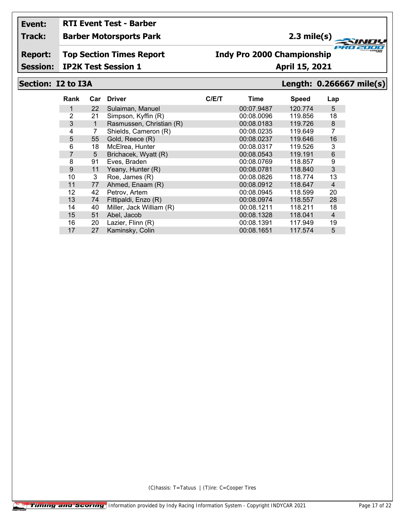# **RTI Event Test - Barber**

### **Track: Barber Motorsports Park**

## **2.3 mile(s)**

**Report: Top Section Times Report**

### **Indy Pro 2000 Championship**

**Session: IP2K Test Session 1 April 15, 2021** 

### **Section: I2 to I3A Length: 0.266667 mile(s)**

**FRO 200** 

2000

| Rank | Car | <b>Driver</b>            | C/ET | Time       | Speed   | Lap            |
|------|-----|--------------------------|------|------------|---------|----------------|
| 1    | 22  | Sulaiman, Manuel         |      | 00:07.9487 | 120.774 | 5              |
| 2    | 21  | Simpson, Kyffin (R)      |      | 00:08.0096 | 119.856 | 18             |
| 3    | 1   | Rasmussen, Christian (R) |      | 00:08.0183 | 119.726 | $\bf 8$        |
| 4    | 7   | Shields, Cameron (R)     |      | 00:08.0235 | 119.649 | 7              |
| 5    | 55  | Gold, Reece (R)          |      | 00:08.0237 | 119.646 | 16             |
| 6    | 18  | McElrea, Hunter          |      | 00:08.0317 | 119.526 | 3              |
| 7    | 5   | Brichacek, Wyatt (R)     |      | 00:08.0543 | 119.191 | $\,6$          |
| 8    | 91  | Eves, Braden             |      | 00:08.0769 | 118.857 | 9              |
| 9    | 11  | Yeany, Hunter (R)        |      | 00:08.0781 | 118.840 | 3              |
| 10   | 3   | Roe, James (R)           |      | 00:08.0826 | 118.774 | 13             |
| 11   | 77  | Ahmed, Enaam (R)         |      | 00:08.0912 | 118.647 | $\overline{4}$ |
| 12   | 42  | Petrov, Artem            |      | 00:08.0945 | 118.599 | 20             |
| 13   | 74  | Fittipaldi, Enzo (R)     |      | 00:08.0974 | 118.557 | 28             |
| 14   | 40  | Miller, Jack William (R) |      | 00:08.1211 | 118.211 | 18             |
| 15   | 51  | Abel, Jacob              |      | 00:08.1328 | 118.041 | $\overline{4}$ |
| 16   | 20  | Lazier, Flinn (R)        |      | 00:08.1391 | 117.949 | 19             |
| 17   | 27  | Kaminsky, Colin          |      | 00:08.1651 | 117.574 | 5              |
|      |     |                          |      |            |         |                |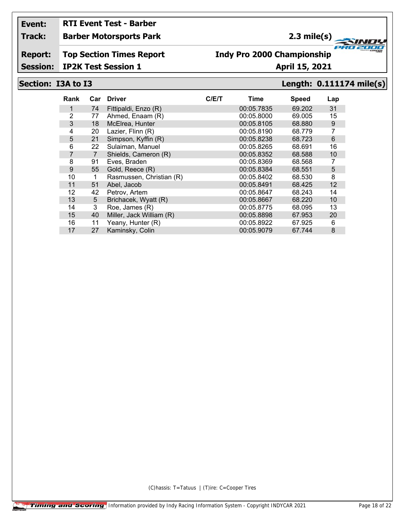## **RTI Event Test - Barber**

### **Track: Barber Motorsports Park**

### **2.3 mile(s)**

**Report: Top Section Times Report**

### **Indy Pro 2000 Championship**

### **Session: IP2K Test Session 1 April 15, 2021**

### **Section: I3A to I3 Length: 0.111174 mile(s)**

| Rank |                | Car Driver               | C/ET | Time       | <b>Speed</b> | Lap |
|------|----------------|--------------------------|------|------------|--------------|-----|
| 1    | 74             | Fittipaldi, Enzo (R)     |      | 00:05.7835 | 69.202       | 31  |
| 2    | 77             | Ahmed, Enaam (R)         |      | 00:05.8000 | 69.005       | 15  |
| 3    | 18             | McElrea, Hunter          |      | 00:05.8105 | 68,880       | 9   |
| 4    | 20             | Lazier, Flinn (R)        |      | 00:05.8190 | 68.779       | 7   |
| 5    | 21             | Simpson, Kyffin (R)      |      | 00:05.8238 | 68.723       | 6   |
| 6    | 22             | Sulaiman, Manuel         |      | 00:05.8265 | 68.691       | 16  |
| 7    | $\overline{7}$ | Shields, Cameron (R)     |      | 00:05.8352 | 68.588       | 10  |
| 8    | 91             | Eves, Braden             |      | 00:05.8369 | 68.568       | 7   |
| 9    | 55             | Gold, Reece (R)          |      | 00:05.8384 | 68.551       | 5   |
| 10   | 1              | Rasmussen, Christian (R) |      | 00:05.8402 | 68.530       | 8   |
| 11   | 51             | Abel, Jacob              |      | 00:05.8491 | 68.425       | 12  |
| 12   | 42             | Petrov, Artem            |      | 00:05.8647 | 68.243       | 14  |
| 13   | 5              | Brichacek, Wyatt (R)     |      | 00:05.8667 | 68.220       | 10  |
| 14   | 3              | Roe, James (R)           |      | 00:05.8775 | 68.095       | 13  |
| 15   | 40             | Miller, Jack William (R) |      | 00:05.8898 | 67.953       | 20  |
| 16   | 11             | Yeany, Hunter (R)        |      | 00:05.8922 | 67.925       | 6   |
| 17   | 27             | Kaminsky, Colin          |      | 00:05.9079 | 67.744       | 8   |
|      |                |                          |      |            |              |     |

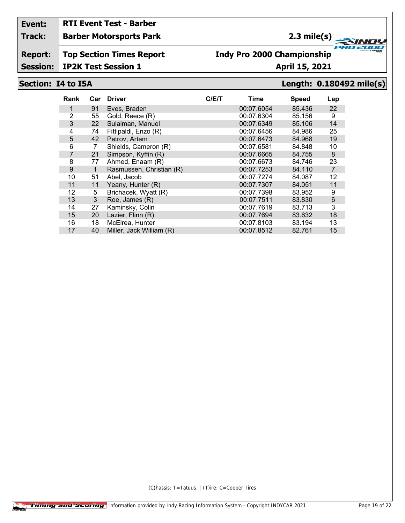# **RTI Event Test - Barber**

**Track: Barber Motorsports Park**

## **2.3 mile(s)**

**Report: Top Section Times Report**

### **Indy Pro 2000 Championship**

**Session: IP2K Test Session 1 April 15, 2021** 

### **Section: I4 to I5A Length: 0.180492 mile(s)**

**FRO 200** 

2000

| Eves, Braden<br>85.436<br>91<br>00:07.6054<br>1<br>2<br>00:07.6304<br>85.156<br>55<br>Gold, Reece (R)<br>3<br>Sulaiman, Manuel<br>85.106<br>22<br>00:07.6349<br>Fittipaldi, Enzo (R)<br>4<br>74<br>00:07.6456<br>84.986<br>5<br>Petrov, Artem<br>42<br>00:07.6473<br>84.968<br>6<br>Shields, Cameron (R)<br>00:07.6581<br>84.848<br>7<br>$\overline{7}$<br>Simpson, Kyffin (R)<br>00:07.6665<br>84.755<br>21<br>8<br>Ahmed, Enaam (R)<br>77<br>00:07.6673<br>84.746<br>9<br>Rasmussen, Christian (R)<br>84.110<br>00:07.7253<br>1 | Lap             |
|-----------------------------------------------------------------------------------------------------------------------------------------------------------------------------------------------------------------------------------------------------------------------------------------------------------------------------------------------------------------------------------------------------------------------------------------------------------------------------------------------------------------------------------|-----------------|
|                                                                                                                                                                                                                                                                                                                                                                                                                                                                                                                                   | 22              |
|                                                                                                                                                                                                                                                                                                                                                                                                                                                                                                                                   | 9               |
|                                                                                                                                                                                                                                                                                                                                                                                                                                                                                                                                   | 14              |
|                                                                                                                                                                                                                                                                                                                                                                                                                                                                                                                                   | 25              |
|                                                                                                                                                                                                                                                                                                                                                                                                                                                                                                                                   | 19              |
|                                                                                                                                                                                                                                                                                                                                                                                                                                                                                                                                   | 10              |
|                                                                                                                                                                                                                                                                                                                                                                                                                                                                                                                                   | 8               |
|                                                                                                                                                                                                                                                                                                                                                                                                                                                                                                                                   | 23              |
|                                                                                                                                                                                                                                                                                                                                                                                                                                                                                                                                   | $\overline{7}$  |
| 10<br>00:07.7274<br>84.087<br>51<br>Abel, Jacob                                                                                                                                                                                                                                                                                                                                                                                                                                                                                   | 12              |
| 11<br>84.051<br>11<br>Yeany, Hunter (R)<br>00:07.7307                                                                                                                                                                                                                                                                                                                                                                                                                                                                             | 11              |
| Brichacek, Wyatt (R)<br>12<br>5<br>00:07.7398<br>83.952                                                                                                                                                                                                                                                                                                                                                                                                                                                                           | 9               |
| 13<br>Roe, James (R)<br>3<br>00:07.7511<br>83.830                                                                                                                                                                                                                                                                                                                                                                                                                                                                                 | $6\phantom{1}6$ |
| Kaminsky, Colin<br>14<br>27<br>00:07.7619<br>83.713                                                                                                                                                                                                                                                                                                                                                                                                                                                                               | 3               |
| Lazier, Flinn (R)<br>15<br>00:07.7694<br>83.632<br>20                                                                                                                                                                                                                                                                                                                                                                                                                                                                             | 18              |
| McElrea, Hunter<br>16<br>18<br>00:07.8103<br>83.194                                                                                                                                                                                                                                                                                                                                                                                                                                                                               | 13              |
| 17<br>Miller, Jack William (R)<br>40<br>00:07.8512<br>82.761                                                                                                                                                                                                                                                                                                                                                                                                                                                                      | 15              |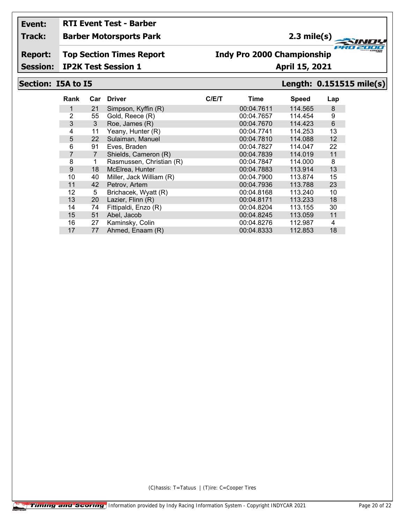## **RTI Event Test - Barber**

**Track: Barber Motorsports Park**

## **2.3 mile(s)**

**Report: Top Section Times Report**

### **Indy Pro 2000 Championship**

**Session: IP2K Test Session 1 April 15, 2021**

### **Section: I5A to I5 Length: 0.151515 mile(s)**

**FRO 200** 

2000

| Rank | Car            | <b>Driver</b>            | C/E/T | Time       | <b>Speed</b> | Lap |
|------|----------------|--------------------------|-------|------------|--------------|-----|
| 1    | 21             | Simpson, Kyffin (R)      |       | 00:04.7611 | 114.565      | 8   |
| 2    | 55             | Gold, Reece (R)          |       | 00:04.7657 | 114.454      | 9   |
| 3    | 3              | Roe, James (R)           |       | 00:04.7670 | 114.423      | 6   |
| 4    | 11             | Yeany, Hunter (R)        |       | 00:04.7741 | 114.253      | 13  |
| 5    | 22             | Sulaiman, Manuel         |       | 00:04.7810 | 114.088      | 12  |
| 6    | 91             | Eves, Braden             |       | 00:04.7827 | 114.047      | 22  |
| 7    | $\overline{7}$ | Shields, Cameron (R)     |       | 00:04.7839 | 114,019      | 11  |
| 8    | 1              | Rasmussen, Christian (R) |       | 00:04.7847 | 114.000      | 8   |
| 9    | 18             | McElrea, Hunter          |       | 00:04.7883 | 113.914      | 13  |
| 10   | 40             | Miller, Jack William (R) |       | 00:04.7900 | 113.874      | 15  |
| 11   | 42             | Petrov, Artem            |       | 00:04.7936 | 113.788      | 23  |
| 12   | 5              | Brichacek, Wyatt (R)     |       | 00:04.8168 | 113.240      | 10  |
| 13   | 20             | Lazier, Flinn (R)        |       | 00:04.8171 | 113.233      | 18  |
| 14   | 74             | Fittipaldi, Enzo (R)     |       | 00:04.8204 | 113.155      | 30  |
| 15   | 51             | Abel, Jacob              |       | 00:04.8245 | 113.059      | 11  |
| 16   | 27             | Kaminsky, Colin          |       | 00:04.8276 | 112.987      | 4   |
| 17   | 77             | Ahmed, Enaam (R)         |       | 00:04.8333 | 112.853      | 18  |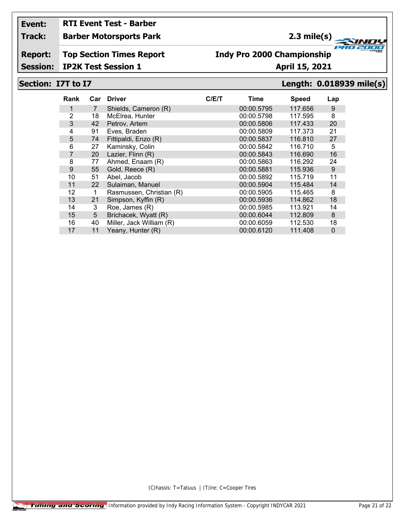# **RTI Event Test - Barber**

### **Track: Barber Motorsports Park**

## **2.3 mile(s)**

**Report: Top Section Times Report**

### **Indy Pro 2000 Championship**

**Session: IP2K Test Session 1 April 15, 2021** 

### **Section: I7T to I7 Length: 0.018939 mile(s)**

**FRO 200** 

2000

| Rank           | Car            | <b>Driver</b>            | C/ET | Time       | <b>Speed</b> | Lap              |
|----------------|----------------|--------------------------|------|------------|--------------|------------------|
|                | $\overline{7}$ | Shields, Cameron (R)     |      | 00:00.5795 | 117.656      | 9                |
| $\overline{2}$ | 18             | McElrea, Hunter          |      | 00:00.5798 | 117.595      | 8                |
| 3              | 42             | Petrov, Artem            |      | 00:00.5806 | 117.433      | 20               |
| 4              | 91             | Eves, Braden             |      | 00:00.5809 | 117.373      | 21               |
| 5              | 74             | Fittipaldi, Enzo (R)     |      | 00:00.5837 | 116.810      | 27               |
| 6              | 27             | Kaminsky, Colin          |      | 00:00.5842 | 116.710      | 5                |
| $\overline{7}$ | 20             | Lazier, Flinn (R)        |      | 00:00.5843 | 116.690      | 16               |
| 8              | 77             | Ahmed, Enaam (R)         |      | 00:00.5863 | 116.292      | 24               |
| 9              | 55             | Gold, Reece (R)          |      | 00:00.5881 | 115.936      | $\boldsymbol{9}$ |
| 10             | 51             | Abel, Jacob              |      | 00:00.5892 | 115.719      | 11               |
| 11             | 22             | Sulaiman, Manuel         |      | 00:00.5904 | 115.484      | 14               |
| 12             | 1              | Rasmussen, Christian (R) |      | 00:00.5905 | 115.465      | 8                |
| 13             | 21             | Simpson, Kyffin (R)      |      | 00:00.5936 | 114.862      | 18               |
| 14             | 3              | Roe, James (R)           |      | 00:00.5985 | 113.921      | 14               |
| 15             | 5              | Brichacek, Wyatt (R)     |      | 00:00.6044 | 112.809      | 8                |
| 16             | 40             | Miller, Jack William (R) |      | 00:00.6059 | 112.530      | 18               |
| 17             | 11             | Yeany, Hunter (R)        |      | 00:00.6120 | 111.408      | $\mathbf 0$      |
|                |                |                          |      |            |              |                  |